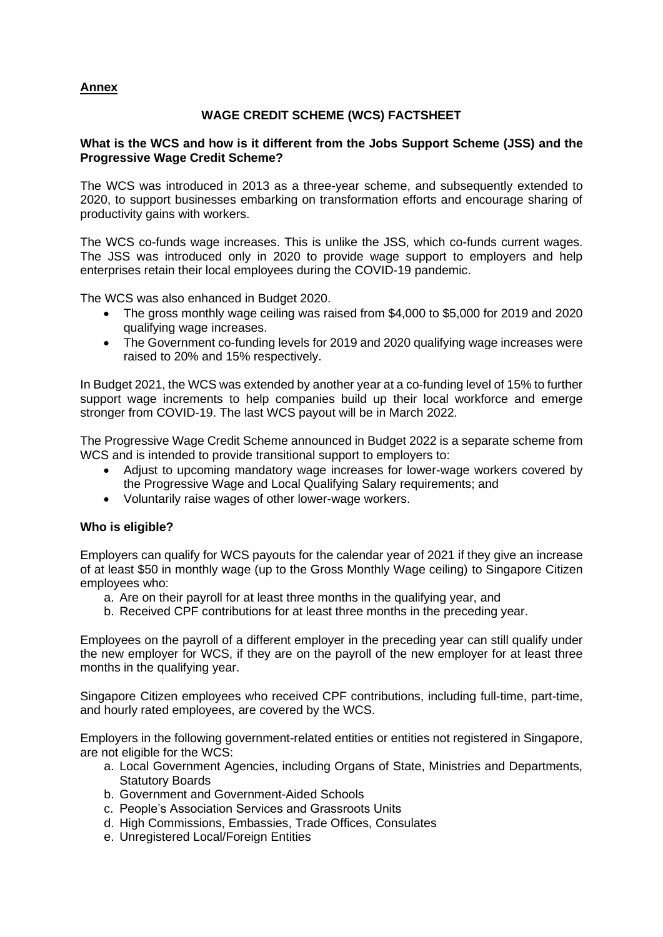# **Annex**

# **WAGE CREDIT SCHEME (WCS) FACTSHEET**

### **What is the WCS and how is it different from the Jobs Support Scheme (JSS) and the Progressive Wage Credit Scheme?**

The WCS was introduced in 2013 as a three-year scheme, and subsequently extended to 2020, to support businesses embarking on transformation efforts and encourage sharing of productivity gains with workers.

The WCS co-funds wage increases. This is unlike the JSS, which co-funds current wages. The JSS was introduced only in 2020 to provide wage support to employers and help enterprises retain their local employees during the COVID-19 pandemic.

The WCS was also enhanced in Budget 2020.

- The gross monthly wage ceiling was raised from \$4,000 to \$5,000 for 2019 and 2020 qualifying wage increases.
- The Government co-funding levels for 2019 and 2020 qualifying wage increases were raised to 20% and 15% respectively.

In Budget 2021, the WCS was extended by another year at a co-funding level of 15% to further support wage increments to help companies build up their local workforce and emerge stronger from COVID-19. The last WCS payout will be in March 2022.

The Progressive Wage Credit Scheme announced in Budget 2022 is a separate scheme from WCS and is intended to provide transitional support to employers to:

- Adjust to upcoming mandatory wage increases for lower-wage workers covered by the Progressive Wage and Local Qualifying Salary requirements; and
- Voluntarily raise wages of other lower-wage workers.

#### **Who is eligible?**

Employers can qualify for WCS payouts for the calendar year of 2021 if they give an increase of at least \$50 in monthly wage (up to the Gross Monthly Wage ceiling) to Singapore Citizen employees who:

- a. Are on their payroll for at least three months in the qualifying year, and
- b. Received CPF contributions for at least three months in the preceding year.

Employees on the payroll of a different employer in the preceding year can still qualify under the new employer for WCS, if they are on the payroll of the new employer for at least three months in the qualifying year.

Singapore Citizen employees who received CPF contributions, including full-time, part-time, and hourly rated employees, are covered by the WCS.

Employers in the following government-related entities or entities not registered in Singapore, are not eligible for the WCS:

- a. Local Government Agencies, including Organs of State, Ministries and Departments, Statutory Boards
- b. Government and Government-Aided Schools
- c. People's Association Services and Grassroots Units
- d. High Commissions, Embassies, Trade Offices, Consulates
- e. Unregistered Local/Foreign Entities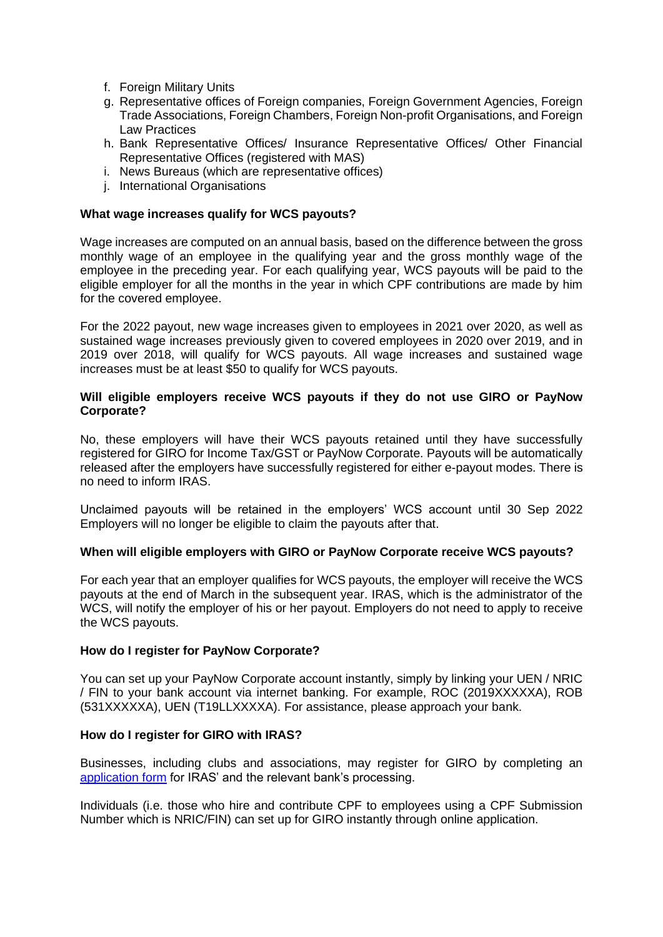- f. Foreign Military Units
- g. Representative offices of Foreign companies, Foreign Government Agencies, Foreign Trade Associations, Foreign Chambers, Foreign Non-profit Organisations, and Foreign Law Practices
- h. Bank Representative Offices/ Insurance Representative Offices/ Other Financial Representative Offices (registered with MAS)
- i. News Bureaus (which are representative offices)
- j. International Organisations

### **What wage increases qualify for WCS payouts?**

Wage increases are computed on an annual basis, based on the difference between the gross monthly wage of an employee in the qualifying year and the gross monthly wage of the employee in the preceding year. For each qualifying year, WCS payouts will be paid to the eligible employer for all the months in the year in which CPF contributions are made by him for the covered employee.

For the 2022 payout, new wage increases given to employees in 2021 over 2020, as well as sustained wage increases previously given to covered employees in 2020 over 2019, and in 2019 over 2018, will qualify for WCS payouts. All wage increases and sustained wage increases must be at least \$50 to qualify for WCS payouts.

### **Will eligible employers receive WCS payouts if they do not use GIRO or PayNow Corporate?**

No, these employers will have their WCS payouts retained until they have successfully registered for GIRO for Income Tax/GST or PayNow Corporate. Payouts will be automatically released after the employers have successfully registered for either e-payout modes. There is no need to inform IRAS.

Unclaimed payouts will be retained in the employers' WCS account until 30 Sep 2022 Employers will no longer be eligible to claim the payouts after that.

#### **When will eligible employers with GIRO or PayNow Corporate receive WCS payouts?**

For each year that an employer qualifies for WCS payouts, the employer will receive the WCS payouts at the end of March in the subsequent year. IRAS, which is the administrator of the WCS, will notify the employer of his or her payout. Employers do not need to apply to receive the WCS payouts.

### **How do I register for PayNow Corporate?**

You can set up your PayNow Corporate account instantly, simply by linking your UEN / NRIC / FIN to your bank account via internet banking. For example, ROC (2019XXXXXA), ROB (531XXXXXA), UEN (T19LLXXXXA). For assistance, please approach your bank.

#### **How do I register for GIRO with IRAS?**

Businesses, including clubs and associations, may register for GIRO by completing an [application form](https://www.iras.gov.sg/IRASHome/Quick-Links/Payments/GIRO-application-form/) for IRAS' and the relevant bank's processing.

Individuals (i.e. those who hire and contribute CPF to employees using a CPF Submission Number which is NRIC/FIN) can set up for GIRO instantly through online application.